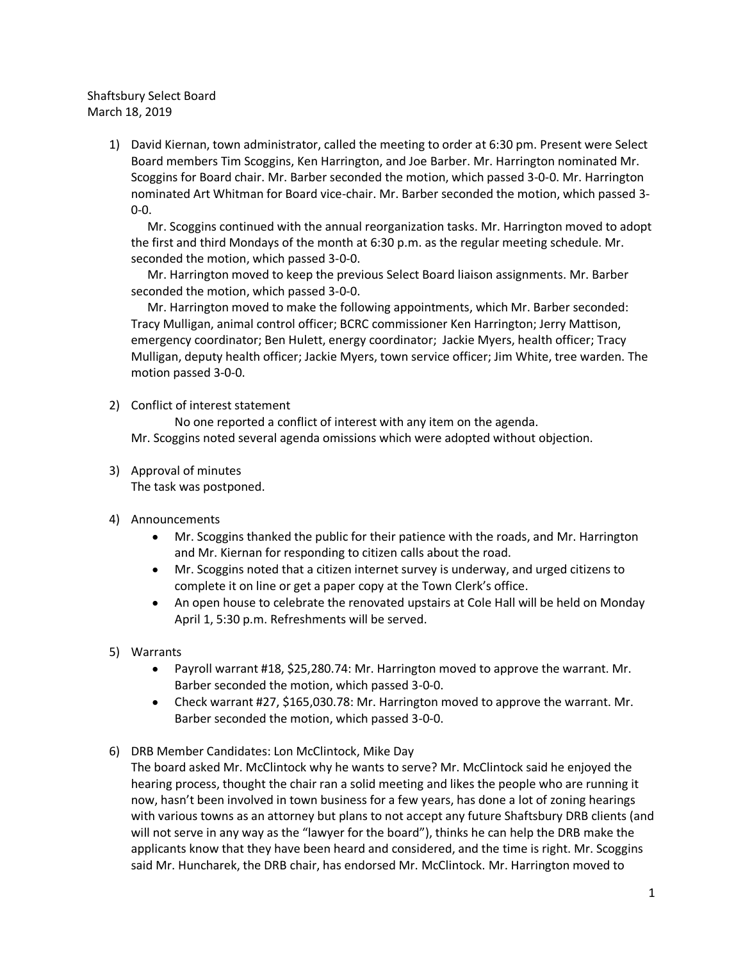Shaftsbury Select Board March 18, 2019

> 1) David Kiernan, town administrator, called the meeting to order at 6:30 pm. Present were Select Board members Tim Scoggins, Ken Harrington, and Joe Barber. Mr. Harrington nominated Mr. Scoggins for Board chair. Mr. Barber seconded the motion, which passed 3-0-0. Mr. Harrington nominated Art Whitman for Board vice-chair. Mr. Barber seconded the motion, which passed 3- 0-0.

Mr. Scoggins continued with the annual reorganization tasks. Mr. Harrington moved to adopt the first and third Mondays of the month at 6:30 p.m. as the regular meeting schedule. Mr. seconded the motion, which passed 3-0-0.

Mr. Harrington moved to keep the previous Select Board liaison assignments. Mr. Barber seconded the motion, which passed 3-0-0.

Mr. Harrington moved to make the following appointments, which Mr. Barber seconded: Tracy Mulligan, animal control officer; BCRC commissioner Ken Harrington; Jerry Mattison, emergency coordinator; Ben Hulett, energy coordinator; Jackie Myers, health officer; Tracy Mulligan, deputy health officer; Jackie Myers, town service officer; Jim White, tree warden. The motion passed 3-0-0.

2) Conflict of interest statement

No one reported a conflict of interest with any item on the agenda. Mr. Scoggins noted several agenda omissions which were adopted without objection.

3) Approval of minutes

The task was postponed.

- 4) Announcements
	- Mr. Scoggins thanked the public for their patience with the roads, and Mr. Harrington and Mr. Kiernan for responding to citizen calls about the road.
	- Mr. Scoggins noted that a citizen internet survey is underway, and urged citizens to complete it on line or get a paper copy at the Town Clerk's office.
	- An open house to celebrate the renovated upstairs at Cole Hall will be held on Monday April 1, 5:30 p.m. Refreshments will be served.
- 5) Warrants
	- Payroll warrant #18, \$25,280.74: Mr. Harrington moved to approve the warrant. Mr. Barber seconded the motion, which passed 3-0-0.
	- Check warrant #27, \$165,030.78: Mr. Harrington moved to approve the warrant. Mr. Barber seconded the motion, which passed 3-0-0.
- 6) DRB Member Candidates: Lon McClintock, Mike Day

The board asked Mr. McClintock why he wants to serve? Mr. McClintock said he enjoyed the hearing process, thought the chair ran a solid meeting and likes the people who are running it now, hasn't been involved in town business for a few years, has done a lot of zoning hearings with various towns as an attorney but plans to not accept any future Shaftsbury DRB clients (and will not serve in any way as the "lawyer for the board"), thinks he can help the DRB make the applicants know that they have been heard and considered, and the time is right. Mr. Scoggins said Mr. Huncharek, the DRB chair, has endorsed Mr. McClintock. Mr. Harrington moved to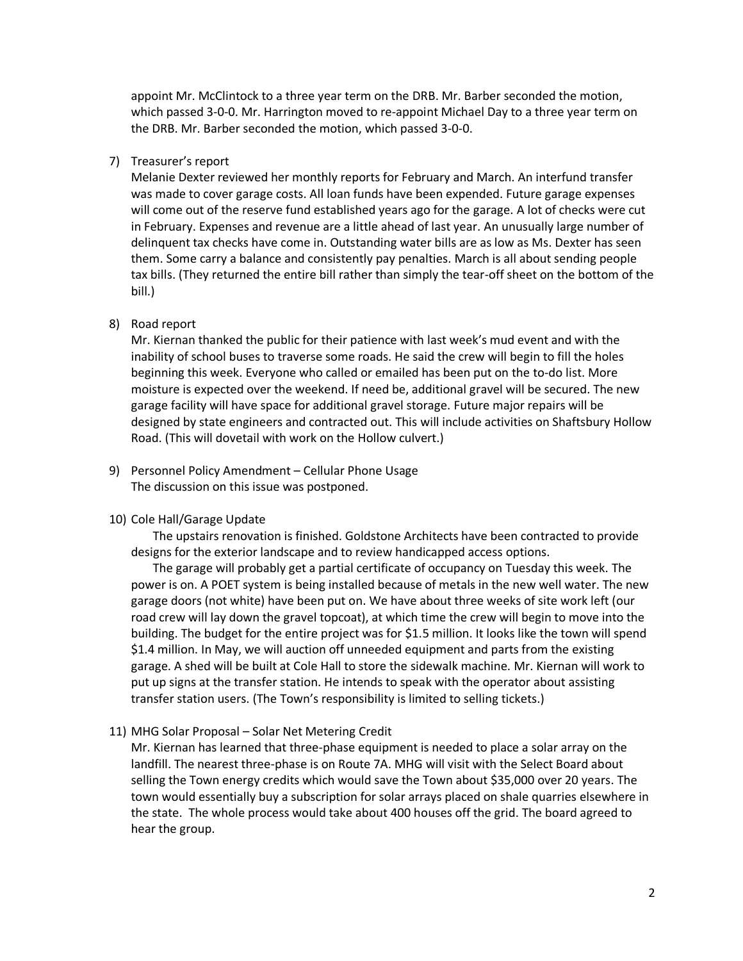appoint Mr. McClintock to a three year term on the DRB. Mr. Barber seconded the motion, which passed 3-0-0. Mr. Harrington moved to re-appoint Michael Day to a three year term on the DRB. Mr. Barber seconded the motion, which passed 3-0-0.

### 7) Treasurer's report

Melanie Dexter reviewed her monthly reports for February and March. An interfund transfer was made to cover garage costs. All loan funds have been expended. Future garage expenses will come out of the reserve fund established years ago for the garage. A lot of checks were cut in February. Expenses and revenue are a little ahead of last year. An unusually large number of delinquent tax checks have come in. Outstanding water bills are as low as Ms. Dexter has seen them. Some carry a balance and consistently pay penalties. March is all about sending people tax bills. (They returned the entire bill rather than simply the tear-off sheet on the bottom of the bill.)

#### 8) Road report

Mr. Kiernan thanked the public for their patience with last week's mud event and with the inability of school buses to traverse some roads. He said the crew will begin to fill the holes beginning this week. Everyone who called or emailed has been put on the to-do list. More moisture is expected over the weekend. If need be, additional gravel will be secured. The new garage facility will have space for additional gravel storage. Future major repairs will be designed by state engineers and contracted out. This will include activities on Shaftsbury Hollow Road. (This will dovetail with work on the Hollow culvert.)

9) Personnel Policy Amendment – Cellular Phone Usage The discussion on this issue was postponed.

### 10) Cole Hall/Garage Update

The upstairs renovation is finished. Goldstone Architects have been contracted to provide designs for the exterior landscape and to review handicapped access options.

The garage will probably get a partial certificate of occupancy on Tuesday this week. The power is on. A POET system is being installed because of metals in the new well water. The new garage doors (not white) have been put on. We have about three weeks of site work left (our road crew will lay down the gravel topcoat), at which time the crew will begin to move into the building. The budget for the entire project was for \$1.5 million. It looks like the town will spend \$1.4 million. In May, we will auction off unneeded equipment and parts from the existing garage. A shed will be built at Cole Hall to store the sidewalk machine. Mr. Kiernan will work to put up signs at the transfer station. He intends to speak with the operator about assisting transfer station users. (The Town's responsibility is limited to selling tickets.)

11) MHG Solar Proposal – Solar Net Metering Credit

Mr. Kiernan has learned that three-phase equipment is needed to place a solar array on the landfill. The nearest three-phase is on Route 7A. MHG will visit with the Select Board about selling the Town energy credits which would save the Town about \$35,000 over 20 years. The town would essentially buy a subscription for solar arrays placed on shale quarries elsewhere in the state. The whole process would take about 400 houses off the grid. The board agreed to hear the group.